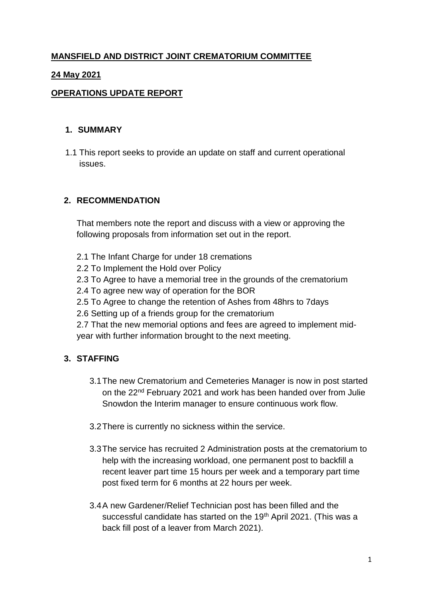# **MANSFIELD AND DISTRICT JOINT CREMATORIUM COMMITTEE**

## **24 May 2021**

## **OPERATIONS UPDATE REPORT**

### **1. SUMMARY**

1.1 This report seeks to provide an update on staff and current operational issues.

## **2. RECOMMENDATION**

That members note the report and discuss with a view or approving the following proposals from information set out in the report.

- 2.1 The Infant Charge for under 18 cremations
- 2.2 To Implement the Hold over Policy
- 2.3 To Agree to have a memorial tree in the grounds of the crematorium
- 2.4 To agree new way of operation for the BOR
- 2.5 To Agree to change the retention of Ashes from 48hrs to 7days
- 2.6 Setting up of a friends group for the crematorium

2.7 That the new memorial options and fees are agreed to implement midyear with further information brought to the next meeting.

# **3. STAFFING**

- 3.1The new Crematorium and Cemeteries Manager is now in post started on the 22nd February 2021 and work has been handed over from Julie Snowdon the Interim manager to ensure continuous work flow.
- 3.2There is currently no sickness within the service.
- 3.3The service has recruited 2 Administration posts at the crematorium to help with the increasing workload, one permanent post to backfill a recent leaver part time 15 hours per week and a temporary part time post fixed term for 6 months at 22 hours per week.
- 3.4A new Gardener/Relief Technician post has been filled and the successful candidate has started on the 19<sup>th</sup> April 2021. (This was a back fill post of a leaver from March 2021).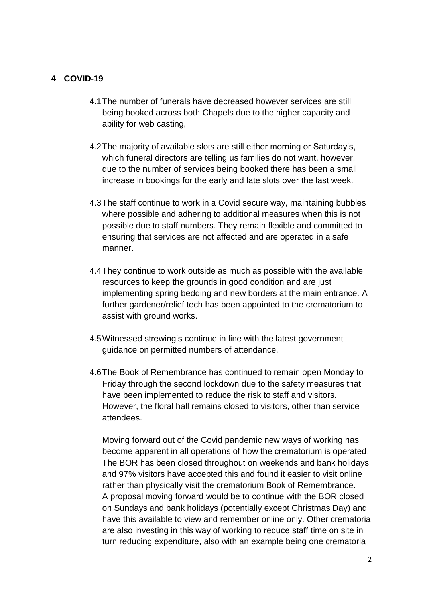#### **4 COVID-19**

- 4.1The number of funerals have decreased however services are still being booked across both Chapels due to the higher capacity and ability for web casting,
- 4.2The majority of available slots are still either morning or Saturday's, which funeral directors are telling us families do not want, however, due to the number of services being booked there has been a small increase in bookings for the early and late slots over the last week.
- 4.3The staff continue to work in a Covid secure way, maintaining bubbles where possible and adhering to additional measures when this is not possible due to staff numbers. They remain flexible and committed to ensuring that services are not affected and are operated in a safe manner.
- 4.4They continue to work outside as much as possible with the available resources to keep the grounds in good condition and are just implementing spring bedding and new borders at the main entrance. A further gardener/relief tech has been appointed to the crematorium to assist with ground works.
- 4.5Witnessed strewing's continue in line with the latest government guidance on permitted numbers of attendance.
- 4.6The Book of Remembrance has continued to remain open Monday to Friday through the second lockdown due to the safety measures that have been implemented to reduce the risk to staff and visitors. However, the floral hall remains closed to visitors, other than service attendees.

Moving forward out of the Covid pandemic new ways of working has become apparent in all operations of how the crematorium is operated. The BOR has been closed throughout on weekends and bank holidays and 97% visitors have accepted this and found it easier to visit online rather than physically visit the crematorium Book of Remembrance. A proposal moving forward would be to continue with the BOR closed on Sundays and bank holidays (potentially except Christmas Day) and have this available to view and remember online only. Other crematoria are also investing in this way of working to reduce staff time on site in turn reducing expenditure, also with an example being one crematoria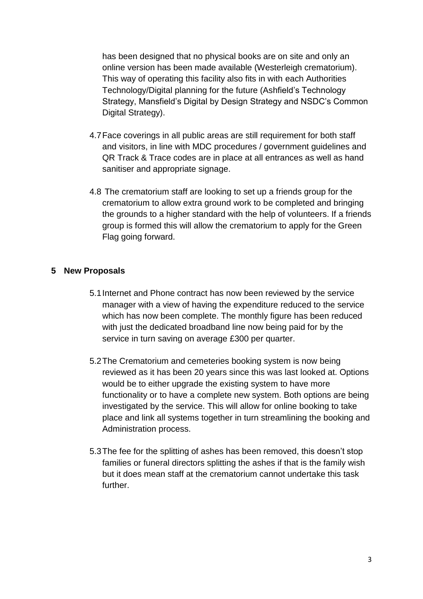has been designed that no physical books are on site and only an online version has been made available (Westerleigh crematorium). This way of operating this facility also fits in with each Authorities Technology/Digital planning for the future (Ashfield's Technology Strategy, Mansfield's Digital by Design Strategy and NSDC's Common Digital Strategy).

- 4.7Face coverings in all public areas are still requirement for both staff and visitors, in line with MDC procedures / government guidelines and QR Track & Trace codes are in place at all entrances as well as hand sanitiser and appropriate signage.
- 4.8 The crematorium staff are looking to set up a friends group for the crematorium to allow extra ground work to be completed and bringing the grounds to a higher standard with the help of volunteers. If a friends group is formed this will allow the crematorium to apply for the Green Flag going forward.

### **5 New Proposals**

- 5.1Internet and Phone contract has now been reviewed by the service manager with a view of having the expenditure reduced to the service which has now been complete. The monthly figure has been reduced with just the dedicated broadband line now being paid for by the service in turn saving on average £300 per quarter.
- 5.2The Crematorium and cemeteries booking system is now being reviewed as it has been 20 years since this was last looked at. Options would be to either upgrade the existing system to have more functionality or to have a complete new system. Both options are being investigated by the service. This will allow for online booking to take place and link all systems together in turn streamlining the booking and Administration process.
- 5.3The fee for the splitting of ashes has been removed, this doesn't stop families or funeral directors splitting the ashes if that is the family wish but it does mean staff at the crematorium cannot undertake this task further.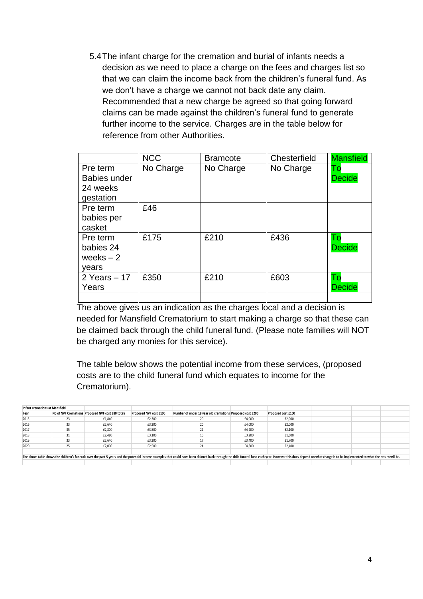5.4The infant charge for the cremation and burial of infants needs a decision as we need to place a charge on the fees and charges list so that we can claim the income back from the children's funeral fund. As we don't have a charge we cannot not back date any claim. Recommended that a new charge be agreed so that going forward claims can be made against the children's funeral fund to generate further income to the service. Charges are in the table below for reference from other Authorities.

|                     | <b>NCC</b> | <b>Bramcote</b> | Chesterfield | <b>Mansfield</b> |
|---------------------|------------|-----------------|--------------|------------------|
| Pre term            | No Charge  | No Charge       | No Charge    | To               |
| <b>Babies under</b> |            |                 |              | <b>Decide</b>    |
| 24 weeks            |            |                 |              |                  |
| gestation           |            |                 |              |                  |
| Pre term            | £46        |                 |              |                  |
| babies per          |            |                 |              |                  |
| casket              |            |                 |              |                  |
| Pre term            | £175       | £210            | £436         | Тo               |
| babies 24           |            |                 |              | <b>Decide</b>    |
| weeks $-2$          |            |                 |              |                  |
| vears               |            |                 |              |                  |
| 2 Years $-17$       | £350       | £210            | £603         | Тo               |
| Years               |            |                 |              | <b>Decide</b>    |
|                     |            |                 |              |                  |

The above gives us an indication as the charges local and a decision is needed for Mansfield Crematorium to start making a charge so that these can be claimed back through the child funeral fund. (Please note families will NOT be charged any monies for this service).

The table below shows the potential income from these services, (proposed costs are to the child funeral fund which equates to income for the Crematorium).

| Infant cremations at Mansfield                                                                                                                                                                                                 |    |                                                   |                        |                                                           |        |                    |  |  |
|--------------------------------------------------------------------------------------------------------------------------------------------------------------------------------------------------------------------------------|----|---------------------------------------------------|------------------------|-----------------------------------------------------------|--------|--------------------|--|--|
| Year                                                                                                                                                                                                                           |    | No of NVF Cremations Proposed NVF cost £80 totals | Proposed NVF cost £100 | Number of under 18 year old cremations Proposed cost £200 |        | Proposed cost £100 |  |  |
| 2015                                                                                                                                                                                                                           |    | £1,840                                            | £2,300                 |                                                           | £4,000 | £2,000             |  |  |
| 2016                                                                                                                                                                                                                           |    | £2,640                                            | £3,300                 |                                                           | £4,000 | £2,000             |  |  |
| 2017                                                                                                                                                                                                                           | 35 | £2,800                                            | £3,500                 |                                                           | £4.200 | £2,100             |  |  |
| 2018                                                                                                                                                                                                                           |    | £2.480                                            | £3,100                 | 16                                                        | £3,200 | £1,600             |  |  |
| 2019                                                                                                                                                                                                                           |    | £2,640                                            | £3,300                 |                                                           | £3,400 | £1,700             |  |  |
| 2020                                                                                                                                                                                                                           |    | £2,000                                            | £2,500                 | 24                                                        | £4.800 | £2,400             |  |  |
|                                                                                                                                                                                                                                |    |                                                   |                        |                                                           |        |                    |  |  |
| The above table shows the children's funerals over the past 5 years and the potential income examples that could have been claimed back through the child funeral fund each year. However this does depend on what charge is t |    |                                                   |                        |                                                           |        |                    |  |  |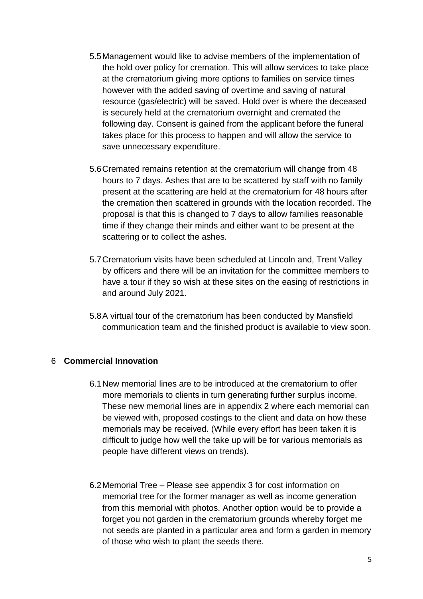- 5.5Management would like to advise members of the implementation of the hold over policy for cremation. This will allow services to take place at the crematorium giving more options to families on service times however with the added saving of overtime and saving of natural resource (gas/electric) will be saved. Hold over is where the deceased is securely held at the crematorium overnight and cremated the following day. Consent is gained from the applicant before the funeral takes place for this process to happen and will allow the service to save unnecessary expenditure.
- 5.6Cremated remains retention at the crematorium will change from 48 hours to 7 days. Ashes that are to be scattered by staff with no family present at the scattering are held at the crematorium for 48 hours after the cremation then scattered in grounds with the location recorded. The proposal is that this is changed to 7 days to allow families reasonable time if they change their minds and either want to be present at the scattering or to collect the ashes.
- 5.7Crematorium visits have been scheduled at Lincoln and, Trent Valley by officers and there will be an invitation for the committee members to have a tour if they so wish at these sites on the easing of restrictions in and around July 2021.
- 5.8A virtual tour of the crematorium has been conducted by Mansfield communication team and the finished product is available to view soon.

## 6 **Commercial Innovation**

- 6.1New memorial lines are to be introduced at the crematorium to offer more memorials to clients in turn generating further surplus income. These new memorial lines are in appendix 2 where each memorial can be viewed with, proposed costings to the client and data on how these memorials may be received. (While every effort has been taken it is difficult to judge how well the take up will be for various memorials as people have different views on trends).
- 6.2Memorial Tree Please see appendix 3 for cost information on memorial tree for the former manager as well as income generation from this memorial with photos. Another option would be to provide a forget you not garden in the crematorium grounds whereby forget me not seeds are planted in a particular area and form a garden in memory of those who wish to plant the seeds there.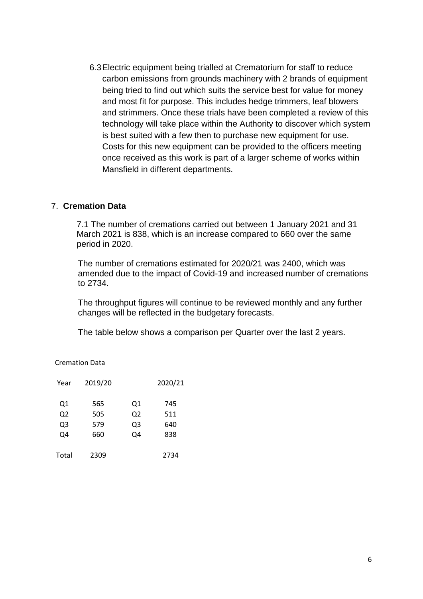6.3Electric equipment being trialled at Crematorium for staff to reduce carbon emissions from grounds machinery with 2 brands of equipment being tried to find out which suits the service best for value for money and most fit for purpose. This includes hedge trimmers, leaf blowers and strimmers. Once these trials have been completed a review of this technology will take place within the Authority to discover which system is best suited with a few then to purchase new equipment for use. Costs for this new equipment can be provided to the officers meeting once received as this work is part of a larger scheme of works within Mansfield in different departments.

#### 7. **Cremation Data**

7.1 The number of cremations carried out between 1 January 2021 and 31 March 2021 is 838, which is an increase compared to 660 over the same period in 2020.

The number of cremations estimated for 2020/21 was 2400, which was amended due to the impact of Covid-19 and increased number of cremations to 2734.

The throughput figures will continue to be reviewed monthly and any further changes will be reflected in the budgetary forecasts.

The table below shows a comparison per Quarter over the last 2 years.

| <b>Cremation Data</b> |  |
|-----------------------|--|
|                       |  |

| Year           | 2019/20 |    | 2020/21 |
|----------------|---------|----|---------|
| Q1             | 565     | Q1 | 745     |
| Q <sub>2</sub> | 505     | Q2 | 511     |
| Q <sub>3</sub> | 579     | Q3 | 640     |
| Q4             | 660     | Q4 | 838     |
| Total          | 2309    |    | 2734    |